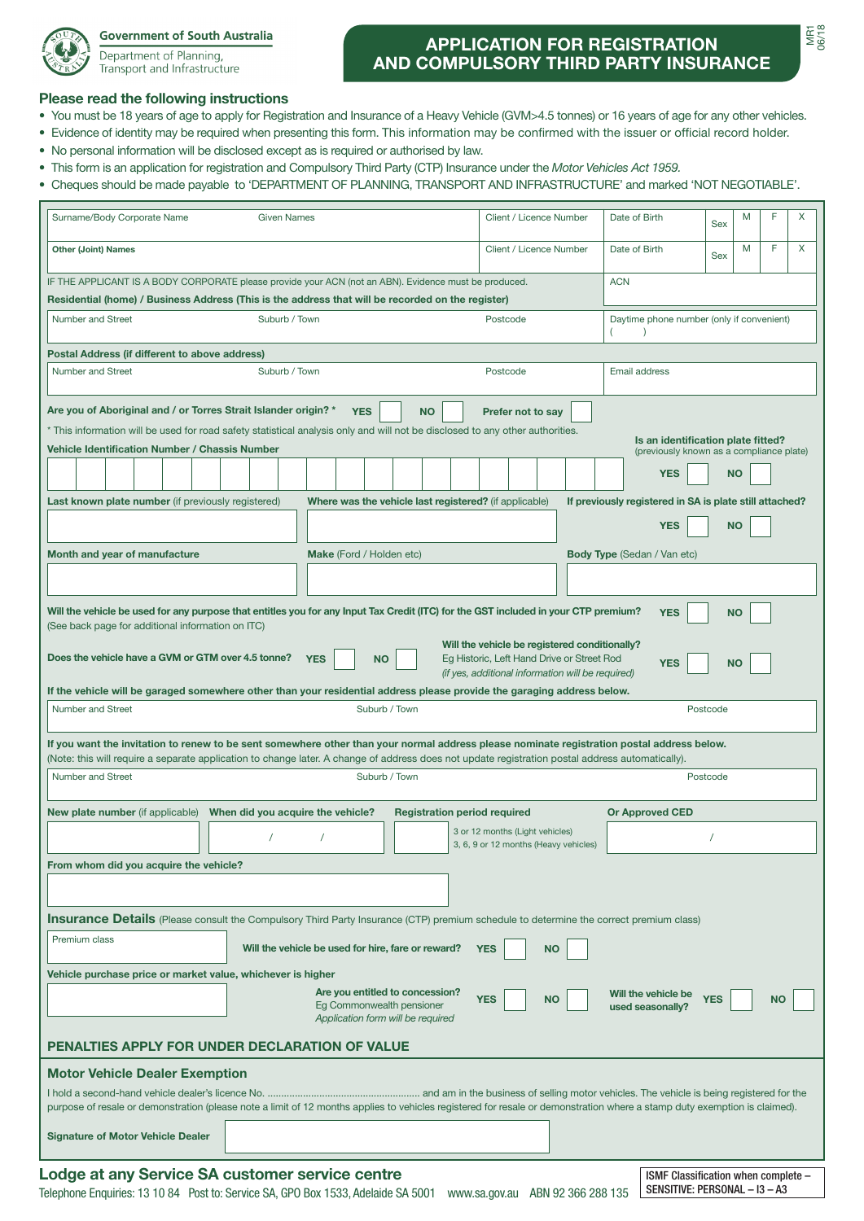

## **Government of South Australia**

Department of Planning, Transport and Infrastructure

## **APPLICATION FOR REGISTRATION AND COMPULSORY THIRD PARTY INSURANCE**

## **Please read the following instructions**

- You must be 18 years of age to apply for Registration and Insurance of a Heavy Vehicle (GVM>4.5 tonnes) or 16 years of age for any other vehicles.
- Evidence of identity may be required when presenting this form. This information may be confirmed with the issuer or official record holder.
- No personal information will be disclosed except as is required or authorised by law.
- This form is an application for registration and Compulsory Third Party (CTP) Insurance under the *Motor Vehicles Act 1959.*
- Cheques should be made payable to 'DEPARTMENT OF PLANNING, TRANSPORT AND INFRASTRUCTURE' and marked 'NOT NEGOTIABLE'.

| Surname/Body Corporate Name                                                                                                                                                  | <b>Given Names</b>                                                                                                                                                                                                                                                                             |                         | Client / Licence Number               |                             | Date of Birth                                                        |          | M         | F         | X |  |  |
|------------------------------------------------------------------------------------------------------------------------------------------------------------------------------|------------------------------------------------------------------------------------------------------------------------------------------------------------------------------------------------------------------------------------------------------------------------------------------------|-------------------------|---------------------------------------|-----------------------------|----------------------------------------------------------------------|----------|-----------|-----------|---|--|--|
| <b>Other (Joint) Names</b>                                                                                                                                                   |                                                                                                                                                                                                                                                                                                | Client / Licence Number |                                       | Date of Birth               |                                                                      | Sex      | M         | F.        | X |  |  |
| IF THE APPLICANT IS A BODY CORPORATE please provide your ACN (not an ABN). Evidence must be produced.<br><b>ACN</b>                                                          |                                                                                                                                                                                                                                                                                                |                         |                                       |                             |                                                                      |          |           |           |   |  |  |
| Residential (home) / Business Address (This is the address that will be recorded on the register)                                                                            |                                                                                                                                                                                                                                                                                                |                         |                                       |                             |                                                                      |          |           |           |   |  |  |
| Number and Street<br>Suburb / Town<br>Postcode                                                                                                                               |                                                                                                                                                                                                                                                                                                |                         |                                       |                             | Daytime phone number (only if convenient)                            |          |           |           |   |  |  |
| Postal Address (if different to above address)                                                                                                                               |                                                                                                                                                                                                                                                                                                |                         |                                       |                             |                                                                      |          |           |           |   |  |  |
| Number and Street                                                                                                                                                            | Suburb / Town                                                                                                                                                                                                                                                                                  |                         | Postcode                              |                             | Email address                                                        |          |           |           |   |  |  |
| Are you of Aboriginal and / or Torres Strait Islander origin? *                                                                                                              | <b>YES</b>                                                                                                                                                                                                                                                                                     | <b>NO</b>               | Prefer not to sav                     |                             |                                                                      |          |           |           |   |  |  |
| * This information will be used for road safety statistical analysis only and will not be disclosed to any other authorities.                                                |                                                                                                                                                                                                                                                                                                |                         |                                       |                             |                                                                      |          |           |           |   |  |  |
| Is an identification plate fitted?<br><b>Vehicle Identification Number / Chassis Number</b><br>(previously known as a compliance plate)                                      |                                                                                                                                                                                                                                                                                                |                         |                                       |                             |                                                                      |          |           |           |   |  |  |
|                                                                                                                                                                              |                                                                                                                                                                                                                                                                                                |                         |                                       |                             | <b>YES</b>                                                           |          | <b>NO</b> |           |   |  |  |
| Last known plate number (if previously registered)<br>Where was the vehicle last registered? (if applicable)<br>If previously registered in SA is plate still attached?      |                                                                                                                                                                                                                                                                                                |                         |                                       |                             |                                                                      |          |           |           |   |  |  |
|                                                                                                                                                                              |                                                                                                                                                                                                                                                                                                |                         |                                       |                             | <b>YES</b>                                                           |          | <b>NO</b> |           |   |  |  |
| Month and year of manufacture                                                                                                                                                | Make (Ford / Holden etc)                                                                                                                                                                                                                                                                       |                         |                                       | Body Type (Sedan / Van etc) |                                                                      |          |           |           |   |  |  |
|                                                                                                                                                                              |                                                                                                                                                                                                                                                                                                |                         |                                       |                             |                                                                      |          |           |           |   |  |  |
|                                                                                                                                                                              | Will the vehicle be used for any purpose that entitles you for any Input Tax Credit (ITC) for the GST included in your CTP premium?                                                                                                                                                            |                         |                                       |                             | <b>YES</b>                                                           |          | <b>NO</b> |           |   |  |  |
| (See back page for additional information on ITC)                                                                                                                            |                                                                                                                                                                                                                                                                                                |                         |                                       |                             |                                                                      |          |           |           |   |  |  |
| Will the vehicle be registered conditionally?<br>Does the vehicle have a GVM or GTM over 4.5 tonne?<br><b>YES</b><br><b>NO</b><br>Eg Historic, Left Hand Drive or Street Rod |                                                                                                                                                                                                                                                                                                |                         |                                       |                             |                                                                      |          |           |           |   |  |  |
| <b>YES</b><br><b>NO</b><br>(if yes, additional information will be required)                                                                                                 |                                                                                                                                                                                                                                                                                                |                         |                                       |                             |                                                                      |          |           |           |   |  |  |
|                                                                                                                                                                              | If the vehicle will be garaged somewhere other than your residential address please provide the garaging address below.                                                                                                                                                                        |                         |                                       |                             |                                                                      |          |           |           |   |  |  |
| Number and Street                                                                                                                                                            |                                                                                                                                                                                                                                                                                                | Suburb / Town           |                                       |                             |                                                                      | Postcode |           |           |   |  |  |
|                                                                                                                                                                              |                                                                                                                                                                                                                                                                                                |                         |                                       |                             |                                                                      |          |           |           |   |  |  |
|                                                                                                                                                                              | If you want the invitation to renew to be sent somewhere other than your normal address please nominate registration postal address below.<br>(Note: this will require a separate application to change later. A change of address does not update registration postal address automatically). |                         |                                       |                             |                                                                      |          |           |           |   |  |  |
| Number and Street<br>Suburb / Town<br>Postcode                                                                                                                               |                                                                                                                                                                                                                                                                                                |                         |                                       |                             |                                                                      |          |           |           |   |  |  |
| <b>New plate number</b> (if applicable)                                                                                                                                      | When did you acquire the vehicle?<br><b>Registration period required</b><br><b>Or Approved CED</b>                                                                                                                                                                                             |                         |                                       |                             |                                                                      |          |           |           |   |  |  |
|                                                                                                                                                                              | 3 or 12 months (Light vehicles)                                                                                                                                                                                                                                                                |                         |                                       |                             |                                                                      |          |           |           |   |  |  |
|                                                                                                                                                                              |                                                                                                                                                                                                                                                                                                |                         | 3, 6, 9 or 12 months (Heavy vehicles) |                             |                                                                      |          |           |           |   |  |  |
| From whom did you acquire the vehicle?                                                                                                                                       |                                                                                                                                                                                                                                                                                                |                         |                                       |                             |                                                                      |          |           |           |   |  |  |
|                                                                                                                                                                              |                                                                                                                                                                                                                                                                                                |                         |                                       |                             |                                                                      |          |           |           |   |  |  |
|                                                                                                                                                                              | Insurance Details (Please consult the Compulsory Third Party Insurance (CTP) premium schedule to determine the correct premium class)                                                                                                                                                          |                         |                                       |                             |                                                                      |          |           |           |   |  |  |
| Premium class                                                                                                                                                                | Will the vehicle be used for hire, fare or reward?                                                                                                                                                                                                                                             |                         | <b>NO</b><br><b>YES</b>               |                             |                                                                      |          |           |           |   |  |  |
| Vehicle purchase price or market value, whichever is higher                                                                                                                  |                                                                                                                                                                                                                                                                                                |                         |                                       |                             |                                                                      |          |           |           |   |  |  |
| Are you entitled to concession?<br>Will the vehicle be<br><b>YES</b><br><b>YES</b>                                                                                           |                                                                                                                                                                                                                                                                                                |                         |                                       |                             |                                                                      |          |           |           |   |  |  |
|                                                                                                                                                                              | Eg Commonwealth pensioner<br>Application form will be required                                                                                                                                                                                                                                 |                         | <b>NO</b>                             | used seasonally?            |                                                                      |          |           | <b>NO</b> |   |  |  |
|                                                                                                                                                                              | <b>PENALTIES APPLY FOR UNDER DECLARATION OF VALUE</b>                                                                                                                                                                                                                                          |                         |                                       |                             |                                                                      |          |           |           |   |  |  |
| <b>Motor Vehicle Dealer Exemption</b>                                                                                                                                        |                                                                                                                                                                                                                                                                                                |                         |                                       |                             |                                                                      |          |           |           |   |  |  |
|                                                                                                                                                                              |                                                                                                                                                                                                                                                                                                |                         |                                       |                             |                                                                      |          |           |           |   |  |  |
|                                                                                                                                                                              | purpose of resale or demonstration (please note a limit of 12 months applies to vehicles registered for resale or demonstration where a stamp duty exemption is claimed).                                                                                                                      |                         |                                       |                             |                                                                      |          |           |           |   |  |  |
| <b>Signature of Motor Vehicle Dealer</b>                                                                                                                                     |                                                                                                                                                                                                                                                                                                |                         |                                       |                             |                                                                      |          |           |           |   |  |  |
|                                                                                                                                                                              |                                                                                                                                                                                                                                                                                                |                         |                                       |                             |                                                                      |          |           |           |   |  |  |
|                                                                                                                                                                              | Lodge at any Service SA customer service centre<br>Telephone Enquiries: 13 10 84 Post to: Service SA, GPO Box 1533, Adelaide SA 5001                                                                                                                                                           |                         | www.sa.gov.au ABN 92 366 288 135      |                             | ISMF Classification when complete -<br>SENSITIVE: PERSONAL - I3 - A3 |          |           |           |   |  |  |